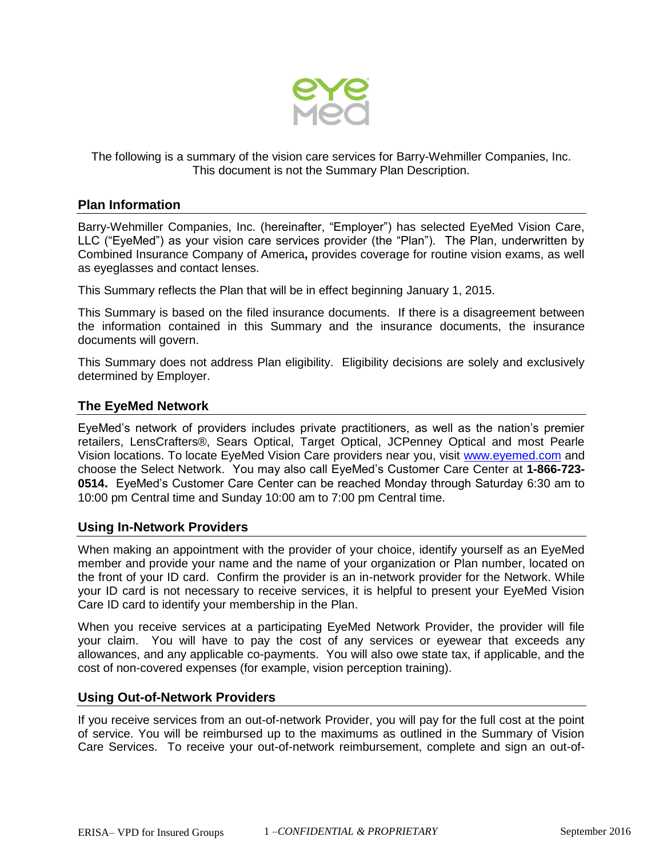

The following is a summary of the vision care services for Barry-Wehmiller Companies, Inc. This document is not the Summary Plan Description.

#### **Plan Information**

Barry-Wehmiller Companies, Inc. (hereinafter, "Employer") has selected EyeMed Vision Care, LLC ("EyeMed") as your vision care services provider (the "Plan"). The Plan, underwritten by Combined Insurance Company of America**,** provides coverage for routine vision exams, as well as eyeglasses and contact lenses.

This Summary reflects the Plan that will be in effect beginning January 1, 2015.

This Summary is based on the filed insurance documents. If there is a disagreement between the information contained in this Summary and the insurance documents, the insurance documents will govern.

This Summary does not address Plan eligibility. Eligibility decisions are solely and exclusively determined by Employer.

#### **The EyeMed Network**

EyeMed's network of providers includes private practitioners, as well as the nation's premier retailers, LensCrafters®, Sears Optical, Target Optical, JCPenney Optical and most Pearle Vision locations. To locate EyeMed Vision Care providers near you, visit [www.eyemed.com](http://www.eyemed.com/) and choose the Select Network. You may also call EyeMed's Customer Care Center at **1-866-723- 0514.** EyeMed's Customer Care Center can be reached Monday through Saturday 6:30 am to 10:00 pm Central time and Sunday 10:00 am to 7:00 pm Central time.

## **Using In-Network Providers**

When making an appointment with the provider of your choice, identify yourself as an EyeMed member and provide your name and the name of your organization or Plan number, located on the front of your ID card. Confirm the provider is an in-network provider for the Network. While your ID card is not necessary to receive services, it is helpful to present your EyeMed Vision Care ID card to identify your membership in the Plan.

When you receive services at a participating EyeMed Network Provider, the provider will file your claim. You will have to pay the cost of any services or eyewear that exceeds any allowances, and any applicable co-payments. You will also owe state tax, if applicable, and the cost of non-covered expenses (for example, vision perception training).

#### **Using Out-of-Network Providers**

If you receive services from an out-of-network Provider, you will pay for the full cost at the point of service. You will be reimbursed up to the maximums as outlined in the Summary of Vision Care Services. To receive your out-of-network reimbursement, complete and sign an out-of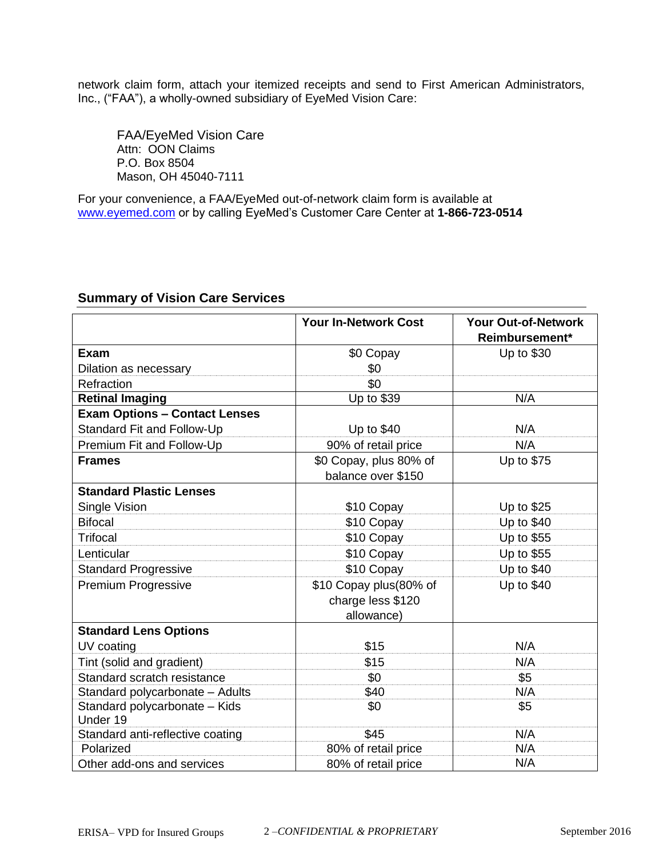network claim form, attach your itemized receipts and send to First American Administrators, Inc., ("FAA"), a wholly-owned subsidiary of EyeMed Vision Care:

FAA/EyeMed Vision Care Attn: OON Claims P.O. Box 8504 Mason, OH 45040-7111

For your convenience, a FAA/EyeMed out-of-network claim form is available at [www.eyemed.com](http://www.eyemed.com/) or by calling EyeMed's Customer Care Center at **1-866-723-0514**

|                                           | <b>Your In-Network Cost</b>                               | <b>Your Out-of-Network</b><br>Reimbursement* |
|-------------------------------------------|-----------------------------------------------------------|----------------------------------------------|
| Exam                                      | \$0 Copay                                                 | Up to \$30                                   |
| Dilation as necessary                     | \$0                                                       |                                              |
| Refraction                                | \$0                                                       |                                              |
| <b>Retinal Imaging</b>                    | Up to \$39                                                | N/A                                          |
| <b>Exam Options - Contact Lenses</b>      |                                                           |                                              |
| Standard Fit and Follow-Up                | Up to \$40                                                | N/A                                          |
| Premium Fit and Follow-Up                 | 90% of retail price                                       | N/A                                          |
| <b>Frames</b>                             | \$0 Copay, plus 80% of<br>balance over \$150              | Up to \$75                                   |
| <b>Standard Plastic Lenses</b>            |                                                           |                                              |
| Single Vision                             | \$10 Copay                                                | Up to \$25                                   |
| <b>Bifocal</b>                            | \$10 Copay                                                | Up to $$40$                                  |
| <b>Trifocal</b>                           | \$10 Copay                                                | Up to \$55                                   |
| Lenticular                                | \$10 Copay                                                | Up to \$55                                   |
| <b>Standard Progressive</b>               | \$10 Copay                                                | Up to \$40                                   |
| Premium Progressive                       | \$10 Copay plus(80% of<br>charge less \$120<br>allowance) | Up to \$40                                   |
| <b>Standard Lens Options</b>              |                                                           |                                              |
| UV coating                                | \$15                                                      | N/A                                          |
| Tint (solid and gradient)                 | \$15                                                      | N/A                                          |
| Standard scratch resistance               | \$0                                                       | \$5                                          |
| Standard polycarbonate - Adults           | \$40                                                      | N/A                                          |
| Standard polycarbonate - Kids<br>Under 19 | \$0                                                       | \$5                                          |
| Standard anti-reflective coating          | \$45                                                      | N/A                                          |
| Polarized                                 | 80% of retail price                                       | N/A                                          |
| Other add-ons and services                | 80% of retail price                                       | N/A                                          |

# **Summary of Vision Care Services**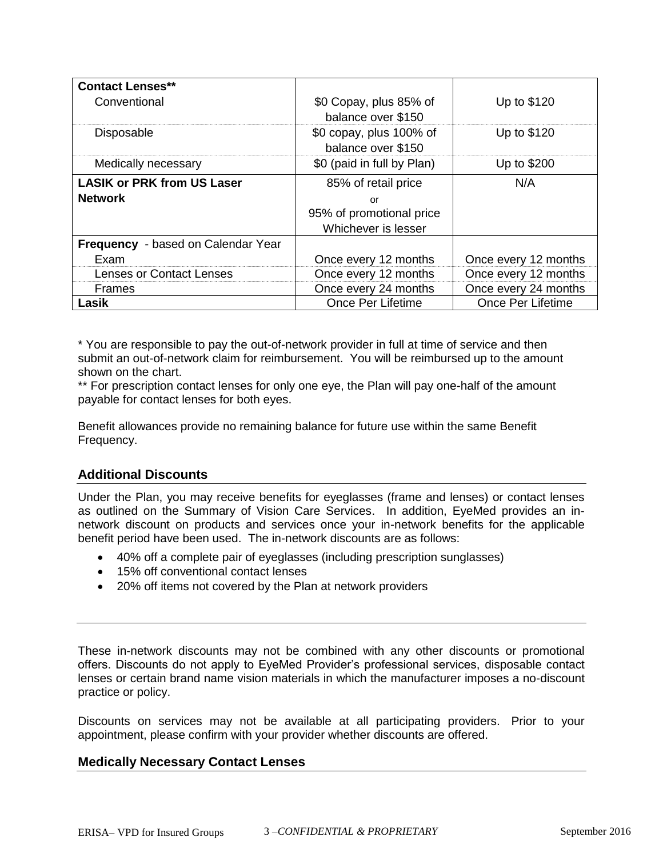| <b>Contact Lenses**</b>                   |                                               |                          |
|-------------------------------------------|-----------------------------------------------|--------------------------|
| Conventional                              | \$0 Copay, plus 85% of<br>balance over \$150  | Up to \$120              |
| <b>Disposable</b>                         | \$0 copay, plus 100% of<br>balance over \$150 | Up to \$120              |
| Medically necessary                       | \$0 (paid in full by Plan)                    | Up to \$200              |
| <b>LASIK or PRK from US Laser</b>         | 85% of retail price                           | N/A                      |
| <b>Network</b>                            | or                                            |                          |
|                                           | 95% of promotional price                      |                          |
|                                           | Whichever is lesser                           |                          |
| <b>Frequency</b> - based on Calendar Year |                                               |                          |
| Exam                                      | Once every 12 months                          | Once every 12 months     |
| <b>Lenses or Contact Lenses</b>           | Once every 12 months                          | Once every 12 months     |
| <b>Frames</b>                             | Once every 24 months                          | Once every 24 months     |
| Lasik                                     | <b>Once Per Lifetime</b>                      | <b>Once Per Lifetime</b> |

\* You are responsible to pay the out-of-network provider in full at time of service and then submit an out-of-network claim for reimbursement. You will be reimbursed up to the amount shown on the chart.

\*\* For prescription contact lenses for only one eye, the Plan will pay one-half of the amount payable for contact lenses for both eyes.

Benefit allowances provide no remaining balance for future use within the same Benefit Frequency.

## **Additional Discounts**

Under the Plan, you may receive benefits for eyeglasses (frame and lenses) or contact lenses as outlined on the Summary of Vision Care Services. In addition, EyeMed provides an innetwork discount on products and services once your in-network benefits for the applicable benefit period have been used. The in-network discounts are as follows:

- 40% off a complete pair of eyeglasses (including prescription sunglasses)
- 15% off conventional contact lenses
- 20% off items not covered by the Plan at network providers

These in-network discounts may not be combined with any other discounts or promotional offers. Discounts do not apply to EyeMed Provider's professional services, disposable contact lenses or certain brand name vision materials in which the manufacturer imposes a no-discount practice or policy.

Discounts on services may not be available at all participating providers. Prior to your appointment, please confirm with your provider whether discounts are offered.

## **Medically Necessary Contact Lenses**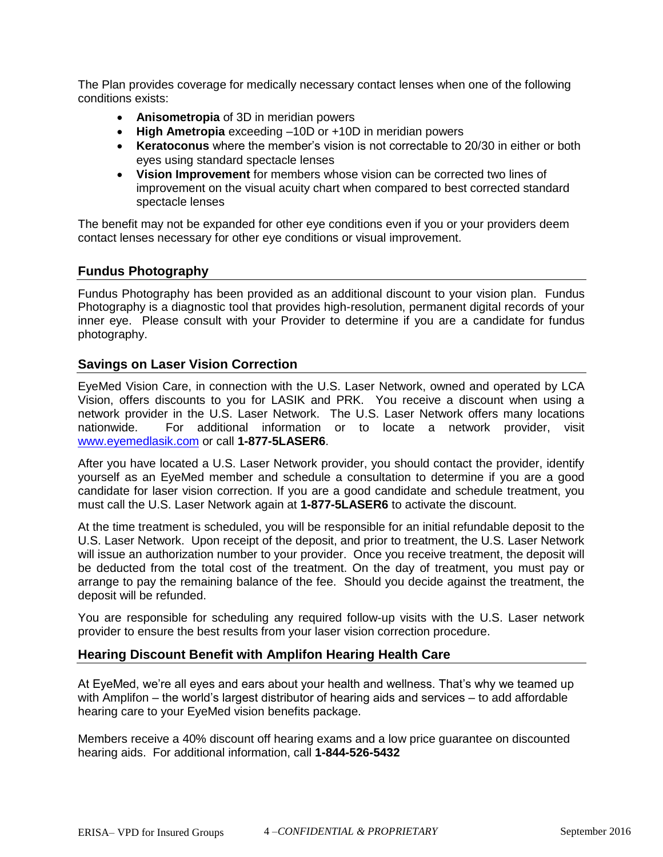The Plan provides coverage for medically necessary contact lenses when one of the following conditions exists:

- **Anisometropia** of 3D in meridian powers
- **High Ametropia** exceeding –10D or +10D in meridian powers
- **Keratoconus** where the member's vision is not correctable to 20/30 in either or both eyes using standard spectacle lenses
- **Vision Improvement** for members whose vision can be corrected two lines of improvement on the visual acuity chart when compared to best corrected standard spectacle lenses

The benefit may not be expanded for other eye conditions even if you or your providers deem contact lenses necessary for other eye conditions or visual improvement.

## **Fundus Photography**

Fundus Photography has been provided as an additional discount to your vision plan. Fundus Photography is a diagnostic tool that provides high-resolution, permanent digital records of your inner eye. Please consult with your Provider to determine if you are a candidate for fundus photography.

#### **Savings on Laser Vision Correction**

EyeMed Vision Care, in connection with the U.S. Laser Network, owned and operated by LCA Vision, offers discounts to you for LASIK and PRK. You receive a discount when using a network provider in the U.S. Laser Network. The U.S. Laser Network offers many locations nationwide. For additional information or to locate a network provider, visit [www.eyemedlasik.com](http://www.eyemedlasik.com/) or call **1-877-5LASER6**.

After you have located a U.S. Laser Network provider, you should contact the provider, identify yourself as an EyeMed member and schedule a consultation to determine if you are a good candidate for laser vision correction. If you are a good candidate and schedule treatment, you must call the U.S. Laser Network again at **1-877-5LASER6** to activate the discount.

At the time treatment is scheduled, you will be responsible for an initial refundable deposit to the U.S. Laser Network. Upon receipt of the deposit, and prior to treatment, the U.S. Laser Network will issue an authorization number to your provider. Once you receive treatment, the deposit will be deducted from the total cost of the treatment. On the day of treatment, you must pay or arrange to pay the remaining balance of the fee. Should you decide against the treatment, the deposit will be refunded.

You are responsible for scheduling any required follow-up visits with the U.S. Laser network provider to ensure the best results from your laser vision correction procedure.

## **Hearing Discount Benefit with Amplifon Hearing Health Care**

At EyeMed, we're all eyes and ears about your health and wellness. That's why we teamed up with Amplifon – the world's largest distributor of hearing aids and services – to add affordable hearing care to your EyeMed vision benefits package.

Members receive a 40% discount off hearing exams and a low price guarantee on discounted hearing aids. For additional information, call **1-844-526-5432**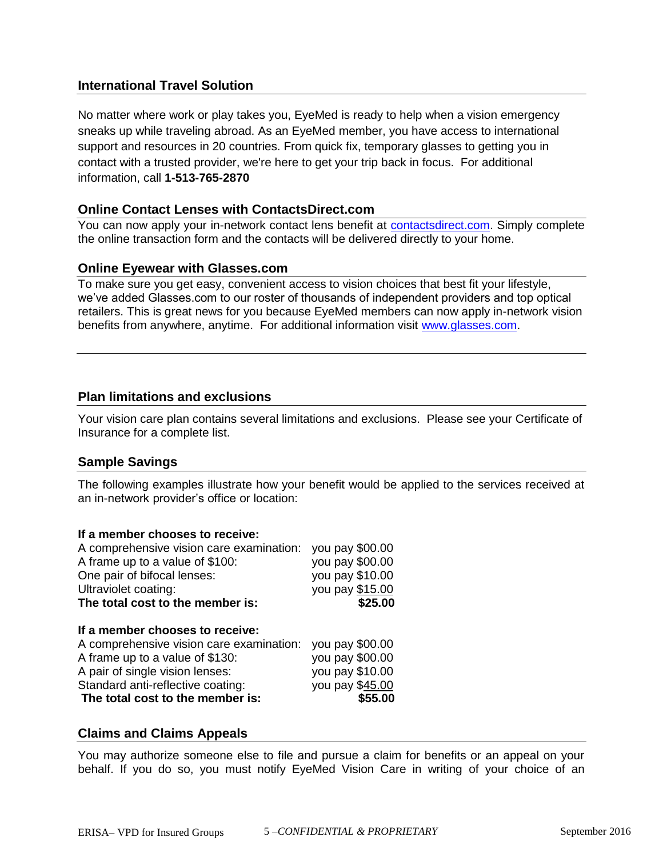# **International Travel Solution**

No matter where work or play takes you, EyeMed is ready to help when a vision emergency sneaks up while traveling abroad. As an EyeMed member, you have access to international support and resources in 20 countries. From quick fix, temporary glasses to getting you in contact with a trusted provider, we're here to get your trip back in focus. For additional information, call **1-513-765-2870**

## **Online Contact Lenses with ContactsDirect.com**

You can now apply your in-network contact lens benefit at [contactsdirect.com.](https://www.contactsdirect.com/) Simply complete the online transaction form and the contacts will be delivered directly to your home.

#### **Online Eyewear with Glasses.com**

To make sure you get easy, convenient access to vision choices that best fit your lifestyle, we've added Glasses.com to our roster of thousands of independent providers and top optical retailers. This is great news for you because EyeMed members can now apply in-network vision benefits from anywhere, anytime. For additional information visit [www.glasses.com.](http://www.glasses.com/)

## **Plan limitations and exclusions**

Your vision care plan contains several limitations and exclusions. Please see your Certificate of Insurance for a complete list.

## **Sample Savings**

The following examples illustrate how your benefit would be applied to the services received at an in-network provider's office or location:

#### **If a member chooses to receive:**

| A comprehensive vision care examination: | you pay \$00.00 |
|------------------------------------------|-----------------|
| A frame up to a value of \$100:          | you pay \$00.00 |
| One pair of bifocal lenses:              | you pay \$10.00 |
| Ultraviolet coating:                     | you pay \$15.00 |
| The total cost to the member is:         | \$25.00         |
|                                          |                 |
| If a member chooses to receive:          |                 |
| A comprehensive vision care examination: | you pay \$00.00 |
| A frame up to a value of \$130:          | you pay \$00.00 |
| A pair of single vision lenses:          | you pay \$10.00 |
| Standard anti-reflective coating:        | you pay \$45.00 |
| The total cost to the member is:         | \$55.00         |

## **Claims and Claims Appeals**

You may authorize someone else to file and pursue a claim for benefits or an appeal on your behalf. If you do so, you must notify EyeMed Vision Care in writing of your choice of an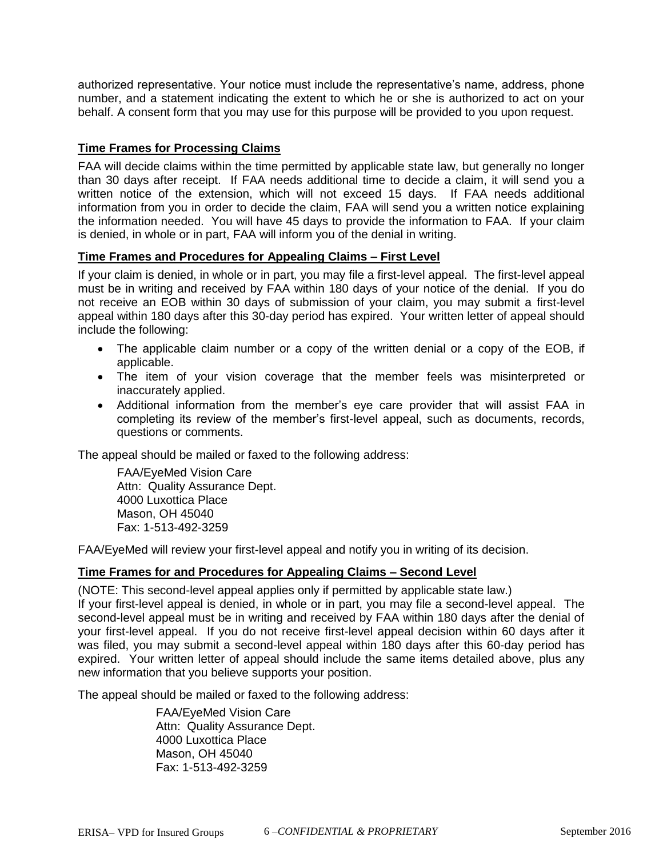authorized representative. Your notice must include the representative's name, address, phone number, and a statement indicating the extent to which he or she is authorized to act on your behalf. A consent form that you may use for this purpose will be provided to you upon request.

## **Time Frames for Processing Claims**

FAA will decide claims within the time permitted by applicable state law, but generally no longer than 30 days after receipt. If FAA needs additional time to decide a claim, it will send you a written notice of the extension, which will not exceed 15 days. If FAA needs additional information from you in order to decide the claim, FAA will send you a written notice explaining the information needed. You will have 45 days to provide the information to FAA. If your claim is denied, in whole or in part, FAA will inform you of the denial in writing.

#### **Time Frames and Procedures for Appealing Claims – First Level**

If your claim is denied, in whole or in part, you may file a first-level appeal. The first-level appeal must be in writing and received by FAA within 180 days of your notice of the denial. If you do not receive an EOB within 30 days of submission of your claim, you may submit a first-level appeal within 180 days after this 30-day period has expired. Your written letter of appeal should include the following:

- The applicable claim number or a copy of the written denial or a copy of the EOB, if applicable.
- The item of your vision coverage that the member feels was misinterpreted or inaccurately applied.
- Additional information from the member's eye care provider that will assist FAA in completing its review of the member's first-level appeal, such as documents, records, questions or comments.

The appeal should be mailed or faxed to the following address:

FAA/EyeMed Vision Care Attn: Quality Assurance Dept. 4000 Luxottica Place Mason, OH 45040 Fax: 1-513-492-3259

FAA/EyeMed will review your first-level appeal and notify you in writing of its decision.

## **Time Frames for and Procedures for Appealing Claims – Second Level**

(NOTE: This second-level appeal applies only if permitted by applicable state law.)

If your first-level appeal is denied, in whole or in part, you may file a second-level appeal. The second-level appeal must be in writing and received by FAA within 180 days after the denial of your first-level appeal. If you do not receive first-level appeal decision within 60 days after it was filed, you may submit a second-level appeal within 180 days after this 60-day period has expired. Your written letter of appeal should include the same items detailed above, plus any new information that you believe supports your position.

The appeal should be mailed or faxed to the following address:

FAA/EyeMed Vision Care Attn: Quality Assurance Dept. 4000 Luxottica Place Mason, OH 45040 Fax: 1-513-492-3259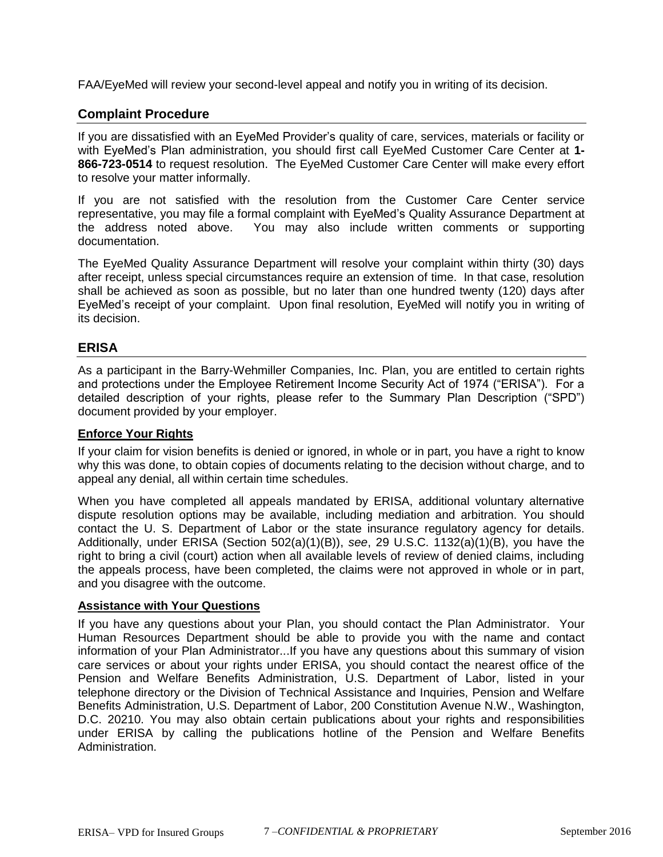FAA/EyeMed will review your second-level appeal and notify you in writing of its decision.

## **Complaint Procedure**

If you are dissatisfied with an EyeMed Provider's quality of care, services, materials or facility or with EyeMed's Plan administration, you should first call EyeMed Customer Care Center at **1- 866-723-0514** to request resolution. The EyeMed Customer Care Center will make every effort to resolve your matter informally.

If you are not satisfied with the resolution from the Customer Care Center service representative, you may file a formal complaint with EyeMed's Quality Assurance Department at the address noted above. You may also include written comments or supporting documentation.

The EyeMed Quality Assurance Department will resolve your complaint within thirty (30) days after receipt, unless special circumstances require an extension of time. In that case, resolution shall be achieved as soon as possible, but no later than one hundred twenty (120) days after EyeMed's receipt of your complaint. Upon final resolution, EyeMed will notify you in writing of its decision.

## **ERISA**

As a participant in the Barry-Wehmiller Companies, Inc. Plan, you are entitled to certain rights and protections under the Employee Retirement Income Security Act of 1974 ("ERISA"). For a detailed description of your rights, please refer to the Summary Plan Description ("SPD") document provided by your employer.

#### **Enforce Your Rights**

If your claim for vision benefits is denied or ignored, in whole or in part, you have a right to know why this was done, to obtain copies of documents relating to the decision without charge, and to appeal any denial, all within certain time schedules.

When you have completed all appeals mandated by ERISA, additional voluntary alternative dispute resolution options may be available, including mediation and arbitration. You should contact the U. S. Department of Labor or the state insurance regulatory agency for details. Additionally, under ERISA (Section 502(a)(1)(B)), *see*, 29 U.S.C. 1132(a)(1)(B), you have the right to bring a civil (court) action when all available levels of review of denied claims, including the appeals process, have been completed, the claims were not approved in whole or in part, and you disagree with the outcome.

#### **Assistance with Your Questions**

If you have any questions about your Plan, you should contact the Plan Administrator. Your Human Resources Department should be able to provide you with the name and contact information of your Plan Administrator...If you have any questions about this summary of vision care services or about your rights under ERISA, you should contact the nearest office of the Pension and Welfare Benefits Administration, U.S. Department of Labor, listed in your telephone directory or the Division of Technical Assistance and Inquiries, Pension and Welfare Benefits Administration, U.S. Department of Labor, 200 Constitution Avenue N.W., Washington, D.C. 20210. You may also obtain certain publications about your rights and responsibilities under ERISA by calling the publications hotline of the Pension and Welfare Benefits Administration.